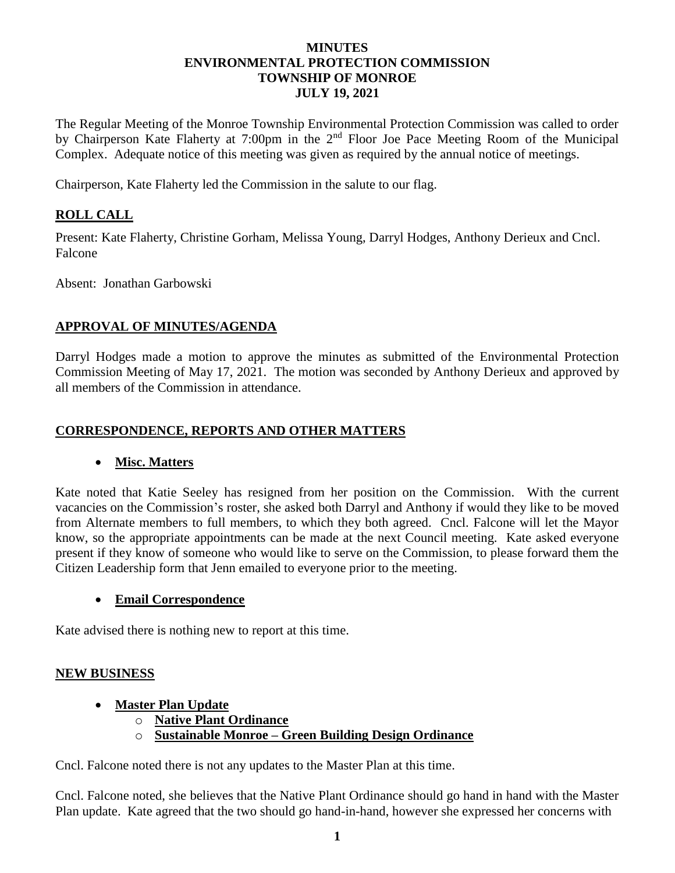#### **MINUTES ENVIRONMENTAL PROTECTION COMMISSION TOWNSHIP OF MONROE JULY 19, 2021**

The Regular Meeting of the Monroe Township Environmental Protection Commission was called to order by Chairperson Kate Flaherty at 7:00pm in the 2nd Floor Joe Pace Meeting Room of the Municipal Complex. Adequate notice of this meeting was given as required by the annual notice of meetings.

Chairperson, Kate Flaherty led the Commission in the salute to our flag.

## **ROLL CALL**

Present: Kate Flaherty, Christine Gorham, Melissa Young, Darryl Hodges, Anthony Derieux and Cncl. Falcone

Absent: Jonathan Garbowski

## **APPROVAL OF MINUTES/AGENDA**

Darryl Hodges made a motion to approve the minutes as submitted of the Environmental Protection Commission Meeting of May 17, 2021. The motion was seconded by Anthony Derieux and approved by all members of the Commission in attendance.

# **CORRESPONDENCE, REPORTS AND OTHER MATTERS**

## • **Misc. Matters**

Kate noted that Katie Seeley has resigned from her position on the Commission. With the current vacancies on the Commission's roster, she asked both Darryl and Anthony if would they like to be moved from Alternate members to full members, to which they both agreed. Cncl. Falcone will let the Mayor know, so the appropriate appointments can be made at the next Council meeting. Kate asked everyone present if they know of someone who would like to serve on the Commission, to please forward them the Citizen Leadership form that Jenn emailed to everyone prior to the meeting.

## • **Email Correspondence**

Kate advised there is nothing new to report at this time.

## **NEW BUSINESS**

## • **Master Plan Update**

- o **Native Plant Ordinance**
- o **Sustainable Monroe – Green Building Design Ordinance**

Cncl. Falcone noted there is not any updates to the Master Plan at this time.

Cncl. Falcone noted, she believes that the Native Plant Ordinance should go hand in hand with the Master Plan update. Kate agreed that the two should go hand-in-hand, however she expressed her concerns with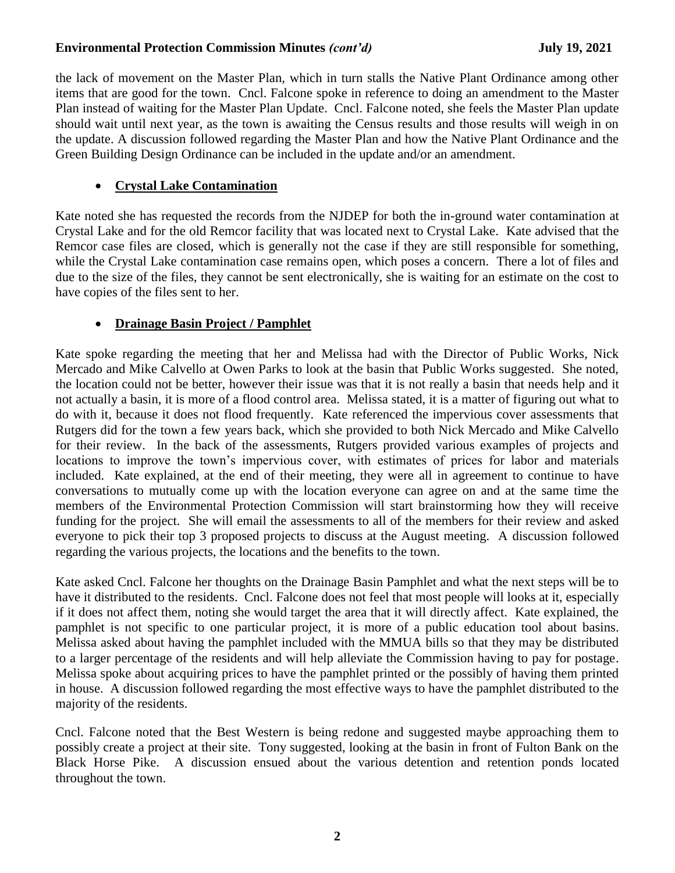#### Environmental Protection Commission Minutes *(cont'd)* July 19, 2021

the lack of movement on the Master Plan, which in turn stalls the Native Plant Ordinance among other items that are good for the town. Cncl. Falcone spoke in reference to doing an amendment to the Master Plan instead of waiting for the Master Plan Update. Cncl. Falcone noted, she feels the Master Plan update should wait until next year, as the town is awaiting the Census results and those results will weigh in on the update. A discussion followed regarding the Master Plan and how the Native Plant Ordinance and the Green Building Design Ordinance can be included in the update and/or an amendment.

## • **Crystal Lake Contamination**

Kate noted she has requested the records from the NJDEP for both the in-ground water contamination at Crystal Lake and for the old Remcor facility that was located next to Crystal Lake. Kate advised that the Remcor case files are closed, which is generally not the case if they are still responsible for something, while the Crystal Lake contamination case remains open, which poses a concern. There a lot of files and due to the size of the files, they cannot be sent electronically, she is waiting for an estimate on the cost to have copies of the files sent to her.

## • **Drainage Basin Project / Pamphlet**

Kate spoke regarding the meeting that her and Melissa had with the Director of Public Works, Nick Mercado and Mike Calvello at Owen Parks to look at the basin that Public Works suggested. She noted, the location could not be better, however their issue was that it is not really a basin that needs help and it not actually a basin, it is more of a flood control area. Melissa stated, it is a matter of figuring out what to do with it, because it does not flood frequently. Kate referenced the impervious cover assessments that Rutgers did for the town a few years back, which she provided to both Nick Mercado and Mike Calvello for their review. In the back of the assessments, Rutgers provided various examples of projects and locations to improve the town's impervious cover, with estimates of prices for labor and materials included. Kate explained, at the end of their meeting, they were all in agreement to continue to have conversations to mutually come up with the location everyone can agree on and at the same time the members of the Environmental Protection Commission will start brainstorming how they will receive funding for the project. She will email the assessments to all of the members for their review and asked everyone to pick their top 3 proposed projects to discuss at the August meeting. A discussion followed regarding the various projects, the locations and the benefits to the town.

Kate asked Cncl. Falcone her thoughts on the Drainage Basin Pamphlet and what the next steps will be to have it distributed to the residents. Cncl. Falcone does not feel that most people will looks at it, especially if it does not affect them, noting she would target the area that it will directly affect. Kate explained, the pamphlet is not specific to one particular project, it is more of a public education tool about basins. Melissa asked about having the pamphlet included with the MMUA bills so that they may be distributed to a larger percentage of the residents and will help alleviate the Commission having to pay for postage. Melissa spoke about acquiring prices to have the pamphlet printed or the possibly of having them printed in house. A discussion followed regarding the most effective ways to have the pamphlet distributed to the majority of the residents.

Cncl. Falcone noted that the Best Western is being redone and suggested maybe approaching them to possibly create a project at their site. Tony suggested, looking at the basin in front of Fulton Bank on the Black Horse Pike. A discussion ensued about the various detention and retention ponds located throughout the town.